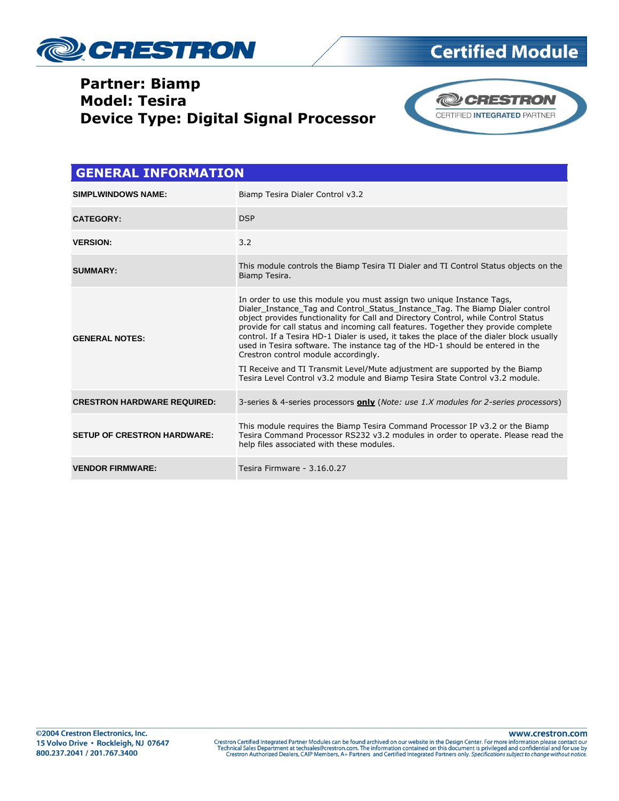

## **Partner: Biamp Model: Tesira Device Type: Digital Signal Processor**



| <b>GENERAL INFORMATION</b>         |                                                                                                                                                                                                                                                                                                                                                                                                                                                                                                                                                                                                                                                                                                                         |  |  |  |
|------------------------------------|-------------------------------------------------------------------------------------------------------------------------------------------------------------------------------------------------------------------------------------------------------------------------------------------------------------------------------------------------------------------------------------------------------------------------------------------------------------------------------------------------------------------------------------------------------------------------------------------------------------------------------------------------------------------------------------------------------------------------|--|--|--|
| <b>SIMPLWINDOWS NAME:</b>          | Biamp Tesira Dialer Control v3.2                                                                                                                                                                                                                                                                                                                                                                                                                                                                                                                                                                                                                                                                                        |  |  |  |
| <b>CATEGORY:</b>                   | <b>DSP</b>                                                                                                                                                                                                                                                                                                                                                                                                                                                                                                                                                                                                                                                                                                              |  |  |  |
| <b>VERSION:</b>                    | 3.2                                                                                                                                                                                                                                                                                                                                                                                                                                                                                                                                                                                                                                                                                                                     |  |  |  |
| <b>SUMMARY:</b>                    | This module controls the Biamp Tesira TI Dialer and TI Control Status objects on the<br>Biamp Tesira.                                                                                                                                                                                                                                                                                                                                                                                                                                                                                                                                                                                                                   |  |  |  |
| <b>GENERAL NOTES:</b>              | In order to use this module you must assign two unique Instance Tags,<br>Dialer Instance Tag and Control Status Instance Tag. The Biamp Dialer control<br>object provides functionality for Call and Directory Control, while Control Status<br>provide for call status and incoming call features. Together they provide complete<br>control. If a Tesira HD-1 Dialer is used, it takes the place of the dialer block usually<br>used in Tesira software. The instance tag of the HD-1 should be entered in the<br>Crestron control module accordingly.<br>TI Receive and TI Transmit Level/Mute adjustment are supported by the Biamp<br>Tesira Level Control v3.2 module and Biamp Tesira State Control v3.2 module. |  |  |  |
| <b>CRESTRON HARDWARE REQUIRED:</b> | 3-series & 4-series processors <b>only</b> (Note: use 1.X modules for 2-series processors)                                                                                                                                                                                                                                                                                                                                                                                                                                                                                                                                                                                                                              |  |  |  |
| <b>SETUP OF CRESTRON HARDWARE:</b> | This module requires the Biamp Tesira Command Processor IP v3.2 or the Biamp<br>Tesira Command Processor RS232 v3.2 modules in order to operate. Please read the<br>help files associated with these modules.                                                                                                                                                                                                                                                                                                                                                                                                                                                                                                           |  |  |  |
| <b>VENDOR FIRMWARE:</b>            | Tesira Firmware - 3.16.0.27                                                                                                                                                                                                                                                                                                                                                                                                                                                                                                                                                                                                                                                                                             |  |  |  |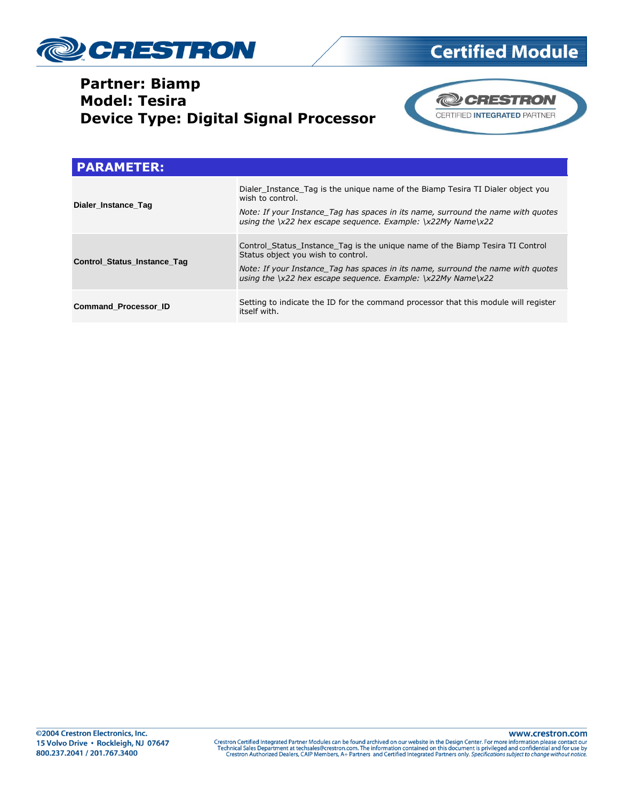

#### **Partner: Biamp Model: Tesira Device Type: Digital Signal Processor**



**Certified Module** 

| <b>PARAMETER:</b>           |                                                                                                                                                                                                                                                                                |
|-----------------------------|--------------------------------------------------------------------------------------------------------------------------------------------------------------------------------------------------------------------------------------------------------------------------------|
| Dialer Instance Tag         | Dialer Instance Tag is the unique name of the Biamp Tesira TI Dialer object you<br>wish to control.<br>Note: If your Instance Tag has spaces in its name, surround the name with quotes<br>using the \x22 hex escape sequence. Example: \x22My Name\x22                        |
| Control Status Instance Tag | Control Status Instance Tag is the unique name of the Biamp Tesira TI Control<br>Status object you wish to control.<br>Note: If your Instance Tag has spaces in its name, surround the name with quotes<br>using the $\x22$ hex escape sequence. Example: $\x22My$ Name $\x22$ |
| <b>Command Processor ID</b> | Setting to indicate the ID for the command processor that this module will register<br>itself with.                                                                                                                                                                            |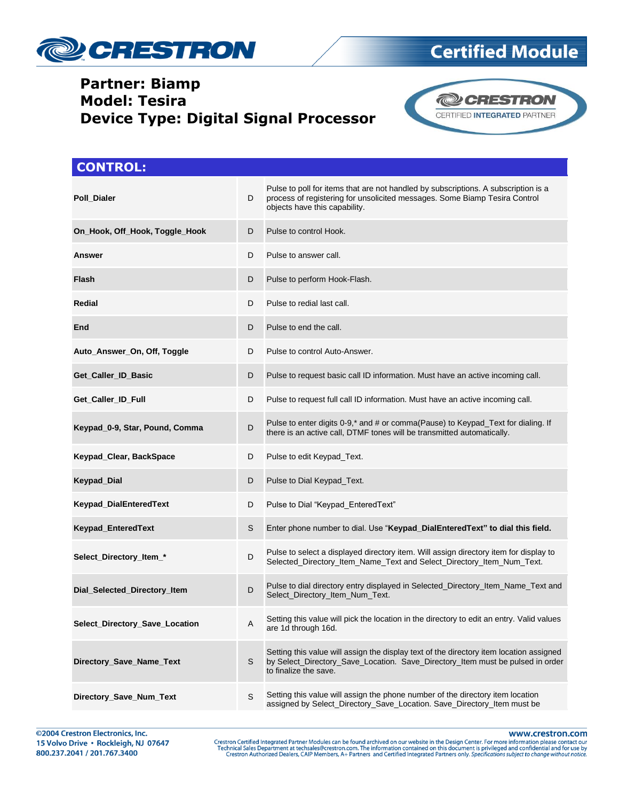

## **Partner: Biamp Model: Tesira Device Type: Digital Signal Processor**



| <b>CONTROL:</b>                |             |                                                                                                                                                                                                    |
|--------------------------------|-------------|----------------------------------------------------------------------------------------------------------------------------------------------------------------------------------------------------|
| Poll_Dialer                    | D           | Pulse to poll for items that are not handled by subscriptions. A subscription is a<br>process of registering for unsolicited messages. Some Biamp Tesira Control<br>objects have this capability.  |
| On_Hook, Off_Hook, Toggle_Hook | D           | Pulse to control Hook.                                                                                                                                                                             |
| Answer                         | D           | Pulse to answer call.                                                                                                                                                                              |
| Flash                          | D           | Pulse to perform Hook-Flash.                                                                                                                                                                       |
| <b>Redial</b>                  | D           | Pulse to redial last call.                                                                                                                                                                         |
| End                            | D           | Pulse to end the call.                                                                                                                                                                             |
| Auto_Answer_On, Off, Toggle    | D           | Pulse to control Auto-Answer.                                                                                                                                                                      |
| Get_Caller_ID_Basic            | D           | Pulse to request basic call ID information. Must have an active incoming call.                                                                                                                     |
| Get Caller ID Full             | D           | Pulse to request full call ID information. Must have an active incoming call.                                                                                                                      |
| Keypad_0-9, Star, Pound, Comma | D           | Pulse to enter digits 0-9,* and # or comma(Pause) to Keypad_Text for dialing. If<br>there is an active call, DTMF tones will be transmitted automatically.                                         |
| Keypad_Clear, BackSpace        | D           | Pulse to edit Keypad_Text.                                                                                                                                                                         |
| <b>Keypad_Dial</b>             | D           | Pulse to Dial Keypad_Text.                                                                                                                                                                         |
| Keypad_DialEnteredText         | D           | Pulse to Dial "Keypad_EnteredText"                                                                                                                                                                 |
| Keypad_EnteredText             | S           | Enter phone number to dial. Use "Keypad_DialEnteredText" to dial this field.                                                                                                                       |
| Select Directory Item *        | D           | Pulse to select a displayed directory item. Will assign directory item for display to<br>Selected_Directory_Item_Name_Text and Select_Directory_Item_Num_Text.                                     |
| Dial Selected Directory Item   | D           | Pulse to dial directory entry displayed in Selected_Directory_Item_Name_Text and<br>Select_Directory_Item_Num_Text.                                                                                |
| Select_Directory_Save_Location | A           | Setting this value will pick the location in the directory to edit an entry. Valid values<br>are 1d through 16d.                                                                                   |
| Directory_Save_Name_Text       | S           | Setting this value will assign the display text of the directory item location assigned<br>by Select_Directory_Save_Location. Save_Directory_Item must be pulsed in order<br>to finalize the save. |
| Directory_Save_Num_Text        | $\mathsf S$ | Setting this value will assign the phone number of the directory item location<br>assigned by Select_Directory_Save_Location. Save_Directory_Item must be                                          |

www.crestron.com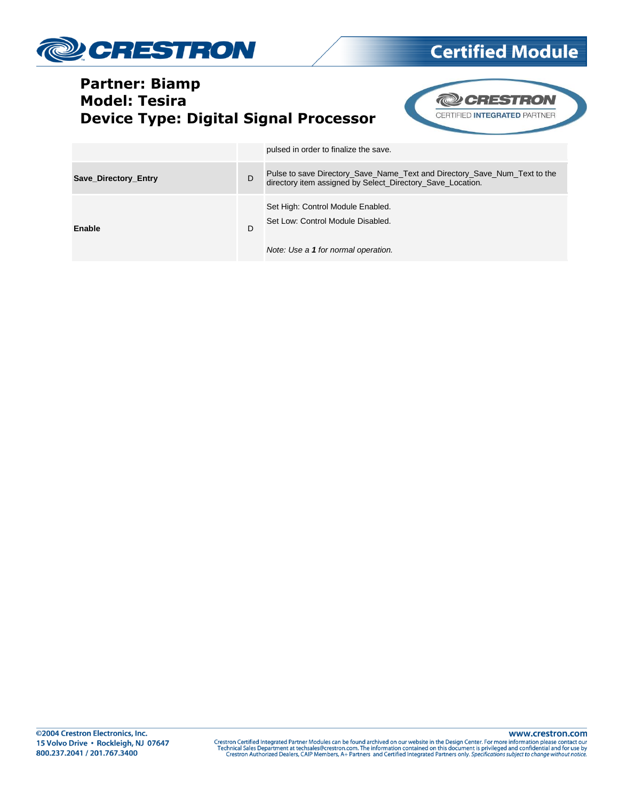

## **Partner: Biamp Model: Tesira Device Type: Digital Signal Processor**



**Certified Module** 

|                      |   | pulsed in order to finalize the save.                                                                                                |
|----------------------|---|--------------------------------------------------------------------------------------------------------------------------------------|
| Save_Directory_Entry | D | Pulse to save Directory_Save_Name_Text and Directory_Save_Num_Text to the directory item assigned by Select_Directory_Save_Location. |
| Enable               | D | Set High: Control Module Enabled.<br>Set Low: Control Module Disabled.<br>Note: Use a 1 for normal operation.                        |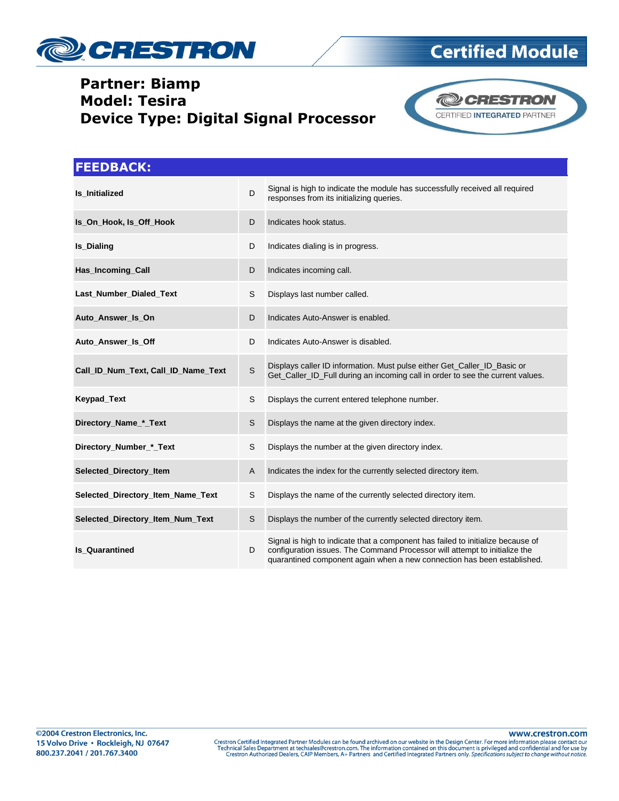

## **Partner: Biamp Model: Tesira Device Type: Digital Signal Processor**



| <b>FEEDBACK:</b>                    |   |                                                                                                                                                                                                                                          |
|-------------------------------------|---|------------------------------------------------------------------------------------------------------------------------------------------------------------------------------------------------------------------------------------------|
| <b>Is Initialized</b>               | D | Signal is high to indicate the module has successfully received all required<br>responses from its initializing queries.                                                                                                                 |
| Is_On_Hook, Is_Off_Hook             | D | Indicates hook status.                                                                                                                                                                                                                   |
| Is Dialing                          | D | Indicates dialing is in progress.                                                                                                                                                                                                        |
| Has_Incoming_Call                   | D | Indicates incoming call.                                                                                                                                                                                                                 |
| Last_Number_Dialed_Text             | S | Displays last number called.                                                                                                                                                                                                             |
| Auto_Answer_Is_On                   | D | Indicates Auto-Answer is enabled.                                                                                                                                                                                                        |
| Auto_Answer_Is_Off                  | D | Indicates Auto-Answer is disabled.                                                                                                                                                                                                       |
| Call_ID_Num_Text, Call_ID_Name_Text | S | Displays caller ID information. Must pulse either Get_Caller_ID_Basic or<br>Get_Caller_ID_Full during an incoming call in order to see the current values.                                                                               |
| Keypad_Text                         | S | Displays the current entered telephone number.                                                                                                                                                                                           |
| Directory_Name_*_Text               | S | Displays the name at the given directory index.                                                                                                                                                                                          |
| Directory_Number_*_Text             | S | Displays the number at the given directory index.                                                                                                                                                                                        |
| Selected_Directory_Item             | A | Indicates the index for the currently selected directory item.                                                                                                                                                                           |
| Selected_Directory_Item_Name_Text   | S | Displays the name of the currently selected directory item.                                                                                                                                                                              |
| Selected_Directory_Item_Num_Text    | S | Displays the number of the currently selected directory item.                                                                                                                                                                            |
| <b>Is Quarantined</b>               | D | Signal is high to indicate that a component has failed to initialize because of<br>configuration issues. The Command Processor will attempt to initialize the<br>quarantined component again when a new connection has been established. |

www.crestron.com